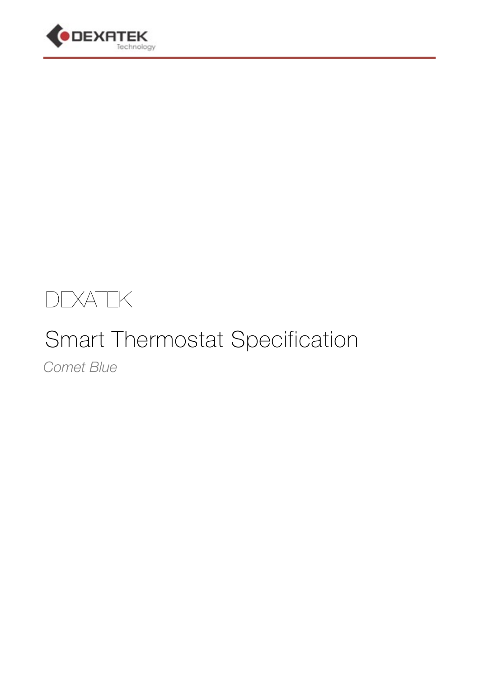



# Smart Thermostat Specification

*Comet Blue*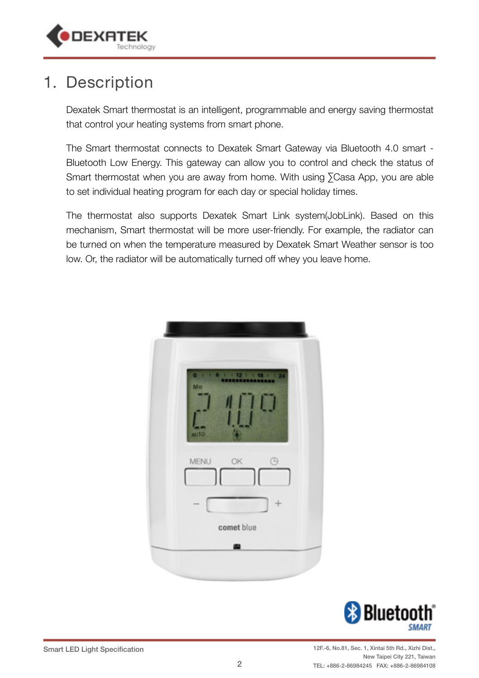

#### 1. Description

Dexatek Smart thermostat is an intelligent, programmable and energy saving thermostat that control your heating systems from smart phone.

The Smart thermostat connects to Dexatek Smart Gateway via Bluetooth 4.0 smart - Bluetooth Low Energy. This gateway can allow you to control and check the status of Smart thermostat when you are away from home. With using ∑Casa App, you are able to set individual heating program for each day or special holiday times.

The thermostat also supports Dexatek Smart Link system(JobLink). Based on this mechanism, Smart thermostat will be more user-friendly. For example, the radiator can be turned on when the temperature measured by Dexatek Smart Weather sensor is too low. Or, the radiator will be automatically turned off whey you leave home.



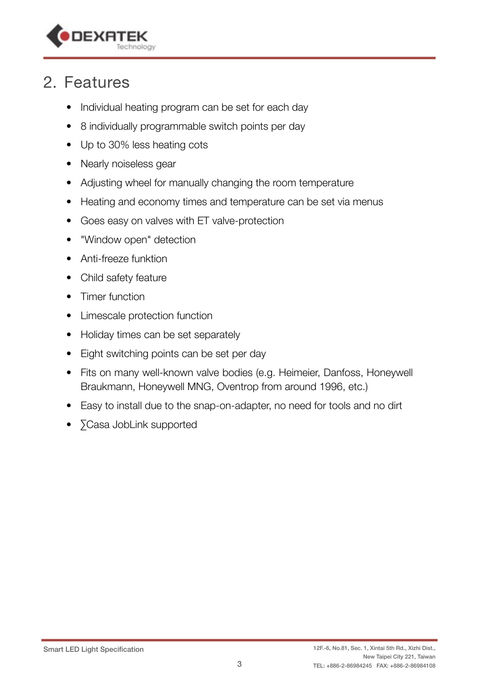

### 2. Features

- Individual heating program can be set for each day
- 8 individually programmable switch points per day
- Up to 30% less heating cots
- Nearly noiseless gear
- Adjusting wheel for manually changing the room temperature
- Heating and economy times and temperature can be set via menus
- Goes easy on valves with ET valve-protection
- "Window open" detection
- Anti-freeze funktion
- Child safety feature
- Timer function
- Limescale protection function
- Holiday times can be set separately
- Eight switching points can be set per day
- Fits on many well-known valve bodies (e.g. Heimeier, Danfoss, Honeywell Braukmann, Honeywell MNG, Oventrop from around 1996, etc.)
- Easy to install due to the snap-on-adapter, no need for tools and no dirt
- ∑Casa JobLink supported